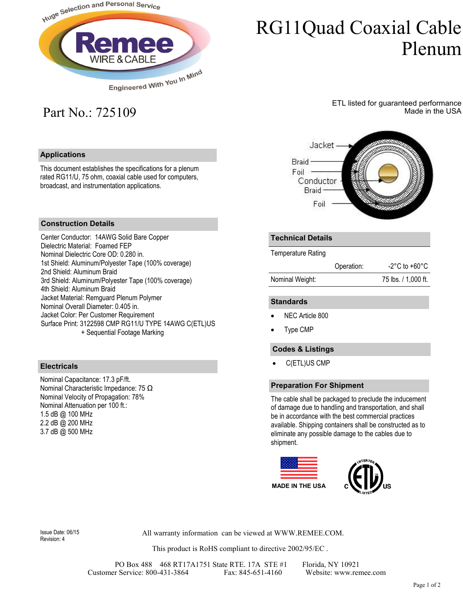

# RG11Quad Coaxial Cable Plenum

## Part No.: 725109

#### **Applications**

This document establishes the specifications for a plenum rated RG11/U, 75 ohm, coaxial cable used for computers, broadcast, and instrumentation applications.

### ETL listed for guaranteed performance Made in the USA



#### **Construction Details**

Center Conductor: 14AWG Solid Bare Copper Dielectric Material: Foamed FEP Nominal Dielectric Core OD: 0.280 in. 1st Shield: Aluminum/Polyester Tape (100% coverage) 2nd Shield: Aluminum Braid 3rd Shield: Aluminum/Polyester Tape (100% coverage) 4th Shield: Aluminum Braid Jacket Material: Remguard Plenum Polymer Nominal Overall Diameter: 0.405 in. Jacket Color: Per Customer Requirement Surface Print: 3122598 CMP RG11/U TYPE 14AWG C(ETL)US + Sequential Footage Marking

#### **Electricals**

Nominal Capacitance: 17.3 pF/ft. Nominal Characteristic Impedance: 75 Ω Nominal Velocity of Propagation: 78% Nominal Attenuation per 100 ft.: 1.5 dB @ 100 MHz 2.2 dB @ 200 MHz 3.7 dB @ 500 MHz

#### **Technical Details**

Temperature Rating

|                 | Operation: | -2°C to +60°C.      |
|-----------------|------------|---------------------|
| Nominal Weight: |            | 75 lbs. / 1,000 ft. |

#### **Standards**

- NEC Article 800
- Type CMP

#### **Codes & Listings**

• C(ETL)US CMP

#### **Preparation For Shipment**

The cable shall be packaged to preclude the inducement of damage due to handling and transportation, and shall be in accordance with the best commercial practices available. Shipping containers shall be constructed as to eliminate any possible damage to the cables due to shipment.



Revision: 4

Issue Date: 06/15 All warranty information can be viewed at WWW.REMEE.COM.

This product is RoHS compliant to directive 2002/95/EC .

PO Box 488 468 RT17A1751 State RTE. 17A STE #1 Florida, NY 10921<br>Fax: 845-651-4160 Website: www.remee.com Customer Service: 800-431-3864